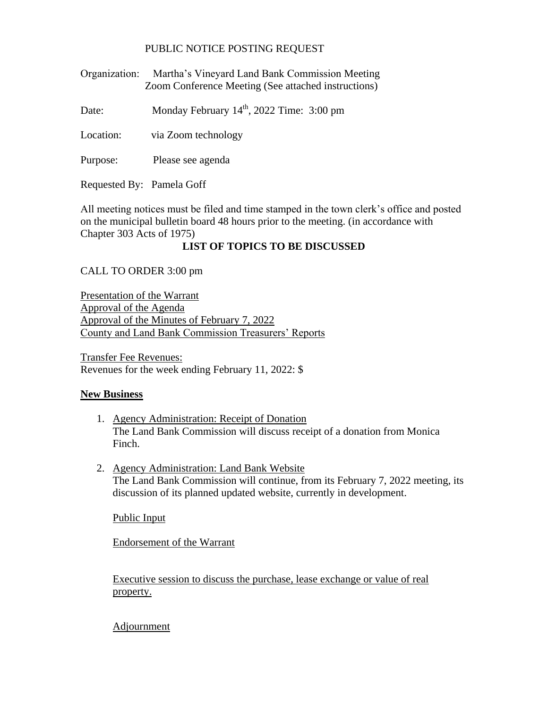## PUBLIC NOTICE POSTING REQUEST

Organization: Martha's Vineyard Land Bank Commission Meeting Zoom Conference Meeting (See attached instructions)

Date: Monday February 14<sup>th</sup>, 2022 Time: 3:00 pm

Location: via Zoom technology

Purpose: Please see agenda

Requested By: Pamela Goff

All meeting notices must be filed and time stamped in the town clerk's office and posted on the municipal bulletin board 48 hours prior to the meeting. (in accordance with Chapter 303 Acts of 1975)

## **LIST OF TOPICS TO BE DISCUSSED**

CALL TO ORDER 3:00 pm

Presentation of the Warrant Approval of the Agenda Approval of the Minutes of February 7, 2022 County and Land Bank Commission Treasurers' Reports

Transfer Fee Revenues: Revenues for the week ending February 11, 2022: \$

## **New Business**

- 1. Agency Administration: Receipt of Donation The Land Bank Commission will discuss receipt of a donation from Monica Finch.
- 2. Agency Administration: Land Bank Website The Land Bank Commission will continue, from its February 7, 2022 meeting, its discussion of its planned updated website, currently in development.

Public Input

Endorsement of the Warrant

Executive session to discuss the purchase, lease exchange or value of real property.

Adjournment